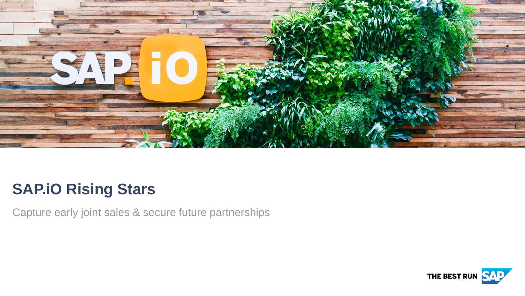

# **SAP.iO Rising Stars**

Capture early joint sales & secure future partnerships

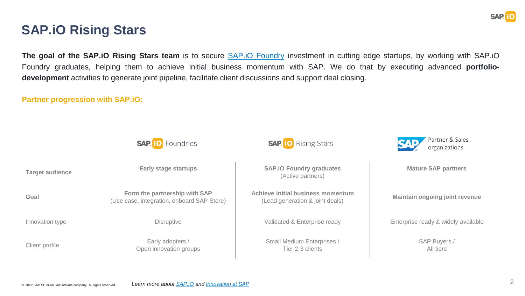

### **SAP.iO Rising Stars**

**The goal of the SAP.iO Rising Stars team** is to secure SAP.iO [Foundry](https://sap.io/) investment in cutting edge startups, by working with SAP.iO Foundry graduates, helping them to achieve initial business momentum with SAP. We do that by executing advanced **portfoliodevelopment** activities to generate joint pipeline, facilitate client discussions and support deal closing.

**Partner progression with SAP.iO:**

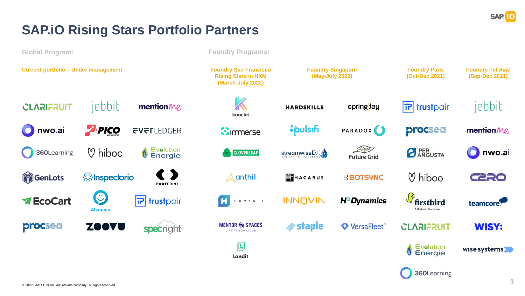

## **SAP.iO Rising Stars Portfolio Partners**

**Global Program: Foundry Programs:Current portfolio – Under management Foundry Tel Aviv Foundry San Francisco Foundry Singapore Foundry Paris Rising Stars in HXM (May-July 2022) (Oct-Dec 2021) (Sep-Dec 2021) (March-July 2022)** jebbit jebbit **CLARIFRUIT** mention/he  $|\mathbf{r}|$  trustpair **HARDSKILLS** springday knockri  $P$ -PICO *Spulsifi* **FVFLLEDGER PARADOX** procsed nwo.ai **C**immerse mention/ $M$ REED Evolution **PER**<br>**PANGUSTA**  $\heartsuit$  hiboo 360Learning nwo.ai **CLOVERLEAF** streamwiseD.I. **C** Energie **Future Grid** GenLots *<u>Shispectorio</u>* anthill  $\heartsuit$  hiboo ᠘ **EN**HACARUS **C220 BBOTSYNC FOOTPRINT**  $\bigcirc$ **A**EcoCart  $\overline{\mathbf{r}}$ trustpair  $\vert$  H **INNOVIN** H<sup>3</sup>Dynamics H U M A N L Y firstbird teamcore. **Alcméon** A Radancy Company **MENTOR EX SPACES** *<u></del>* staple</u> procsed ZOOVU VersaFleet<sup>\*\*</sup> **CLARIFRUIT WISY:** specright LIFT AS YOU CLIMB 但 Evolution wise systems **G** Energie Landit 360Learning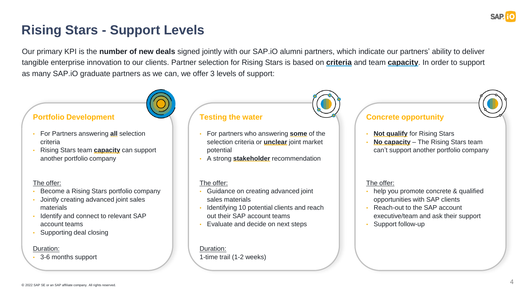

## **Rising Stars - Support Levels**

Our primary KPI is the **number of new deals** signed jointly with our SAP.iO alumni partners, which indicate our partners' ability to deliver tangible enterprise innovation to our clients. Partner selection for Rising Stars is based on **criteria** and team **capacity**. In order to support as many SAP.iO graduate partners as we can, we offer 3 levels of support:

### **Portfolio Development**

- For Partners answering **all** selection criteria
- Rising Stars team **capacity** can support another portfolio company

#### The offer:

- Become a Rising Stars portfolio company
- Jointly creating advanced joint sales materials
- Identify and connect to relevant SAP account teams
- Supporting deal closing

#### Duration:

• 3-6 months support

#### **Testing the water**

- For partners who answering **some** of the selection criteria or **unclear** joint market potential
- A strong **stakeholder** recommendation

#### The offer:

- Guidance on creating advanced joint sales materials
- Identifying 10 potential clients and reach out their SAP account teams
- Evaluate and decide on next steps

#### Duration:

1-time trail (1-2 weeks)



### **Concrete opportunity**

- **Not qualify** for Rising Stars
- **No capacity** The Rising Stars team can't support another portfolio company

#### The offer:

- help you promote concrete & qualified opportunities with SAP clients
- Reach-out to the SAP account executive/team and ask their support
- Support follow-up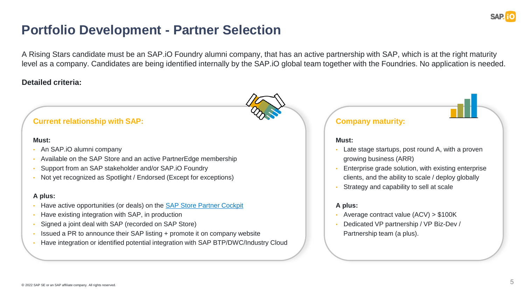

### **Portfolio Development - Partner Selection**

A Rising Stars candidate must be an SAP.iO Foundry alumni company, that has an active partnership with SAP, which is at the right maturity level as a company. Candidates are being identified internally by the SAP.iO global team together with the Foundries. No application is needed.

### **Detailed criteria:**

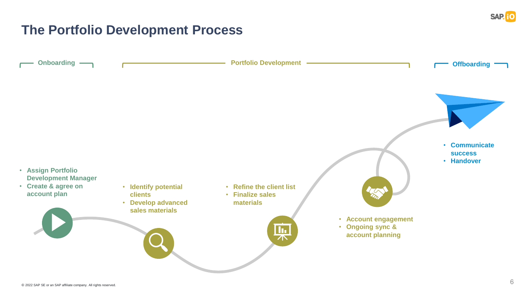

### **The Portfolio Development Process**

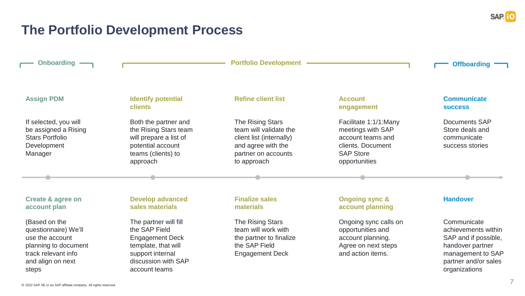

## **The Portfolio Development Process**

| <b>Onboarding</b>                                                                                                                     |                                                                                                                                                     | <b>Portfolio Development</b>                                                                                                       |                                                                                                                           | <b>Offboarding</b>                                                                                                                           |
|---------------------------------------------------------------------------------------------------------------------------------------|-----------------------------------------------------------------------------------------------------------------------------------------------------|------------------------------------------------------------------------------------------------------------------------------------|---------------------------------------------------------------------------------------------------------------------------|----------------------------------------------------------------------------------------------------------------------------------------------|
| <b>Assign PDM</b>                                                                                                                     | <b>Identify potential</b><br><b>clients</b>                                                                                                         | <b>Refine client list</b>                                                                                                          | <b>Account</b><br>engagement                                                                                              | <b>Communicate</b><br><b>SUCCESS</b>                                                                                                         |
| If selected, you will<br>be assigned a Rising<br><b>Stars Portfolio</b><br>Development<br>Manager                                     | Both the partner and<br>the Rising Stars team<br>will prepare a list of<br>potential account<br>teams (clients) to<br>approach                      | The Rising Stars<br>team will validate the<br>client list (internally)<br>and agree with the<br>partner on accounts<br>to approach | Facilitate 1:1/1:Many<br>meetings with SAP<br>account teams and<br>clients. Document<br><b>SAP Store</b><br>opportunities | <b>Documents SAP</b><br>Store deals and<br>communicate<br>success stories                                                                    |
|                                                                                                                                       |                                                                                                                                                     |                                                                                                                                    |                                                                                                                           |                                                                                                                                              |
| <b>Create &amp; agree on</b><br>account plan                                                                                          | <b>Develop advanced</b><br>sales materials                                                                                                          | <b>Finalize sales</b><br>materials                                                                                                 | <b>Ongoing sync &amp;</b><br>account planning                                                                             | <b>Handover</b>                                                                                                                              |
| (Based on the<br>questionnaire) We'll<br>use the account<br>planning to document<br>track relevant info<br>and align on next<br>steps | The partner will fill<br>the SAP Field<br><b>Engagement Deck</b><br>template, that will<br>support internal<br>discussion with SAP<br>account teams | The Rising Stars<br>team will work with<br>the partner to finalize<br>the SAP Field<br><b>Engagement Deck</b>                      | Ongoing sync calls on<br>opportunities and<br>account planning.<br>Agree on next steps<br>and action items.               | Communicate<br>achievements within<br>SAP and if possible,<br>handover partner<br>management to SAP<br>partner and/or sales<br>organizations |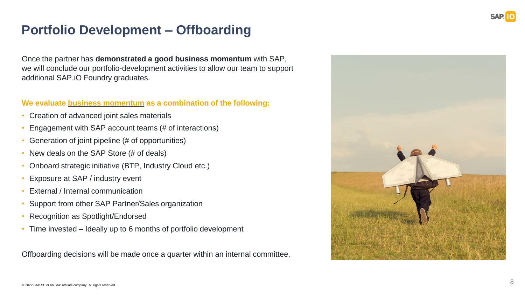

## **Portfolio Development – Offboarding**

Once the partner has **demonstrated a good business momentum** with SAP, we will conclude our portfolio-development activities to allow our team to support additional SAP.iO Foundry graduates.

### **We evaluate business momentum as a combination of the following:**

- Creation of advanced joint sales materials
- Engagement with SAP account teams (# of interactions)
- Generation of joint pipeline (# of opportunities)
- New deals on the SAP Store (# of deals)
- Onboard strategic initiative (BTP, Industry Cloud etc.)
- Exposure at SAP / industry event
- External / Internal communication
- Support from other SAP Partner/Sales organization
- Recognition as Spotlight/Endorsed
- Time invested Ideally up to 6 months of portfolio development

Offboarding decisions will be made once a quarter within an internal committee.